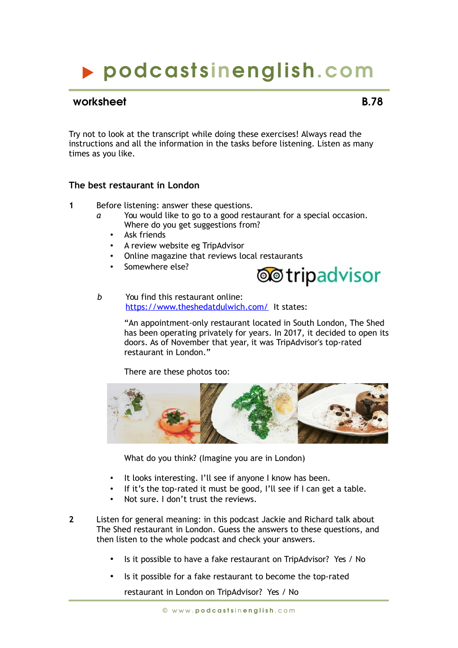## podcasts inenglish.com

#### worksheet **B.78**

Try not to look at the transcript while doing these exercises! Always read the instructions and all the information in the tasks before listening. Listen as many times as you like.

#### **The best restaurant in London**

- **1** Before listening: answer these questions.
	- You would like to go to a good restaurant for a special occasion. Where do you get suggestions from?
		- Ask friends
		- A review website eg TripAdvisor
		- Online magazine that reviews local restaurants
		- Somewhere else?



*b* You find this restaurant online: <https://www.theshedatdulwich.com/>It states:

> "An appointment-only restaurant located in South London, The Shed has been operating privately for years. In 2017, it decided to open its doors. As of November that year, it was TripAdvisor's top-rated restaurant in London."

There are these photos too:



What do you think? (Imagine you are in London)

- It looks interesting. I'll see if anyone I know has been.
- If it's the top-rated it must be good, I'll see if I can get a table.
- Not sure. I don't trust the reviews.

**2** Listen for general meaning: in this podcast Jackie and Richard talk about The Shed restaurant in London. Guess the answers to these questions, and then listen to the whole podcast and check your answers.

- Is it possible to have a fake restaurant on TripAdvisor? Yes / No
- Is it possible for a fake restaurant to become the top-rated

restaurant in London on TripAdvisor? Yes / No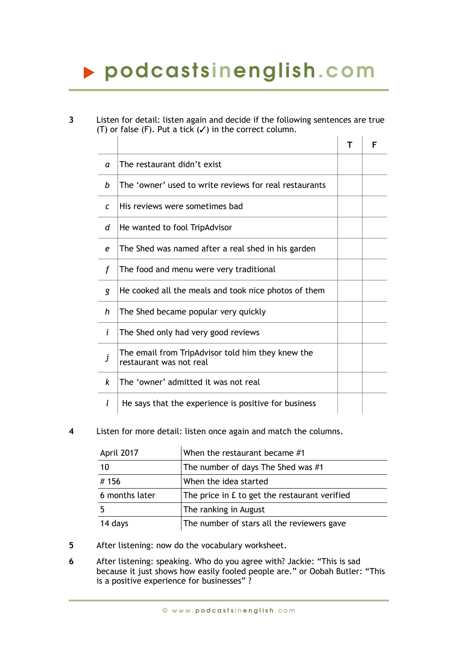# podcasts inenglish.com

**3** Listen for detail: listen again and decide if the following sentences are true (T) or false (F). Put a tick  $(V)$  in the correct column.

|   |                                                                              | F |
|---|------------------------------------------------------------------------------|---|
| a | The restaurant didn't exist                                                  |   |
| h | The 'owner' used to write reviews for real restaurants                       |   |
| C | His reviews were sometimes bad                                               |   |
| d | He wanted to fool TripAdvisor                                                |   |
| е | The Shed was named after a real shed in his garden                           |   |
| f | The food and menu were very traditional                                      |   |
| g | He cooked all the meals and took nice photos of them                         |   |
| h | The Shed became popular very quickly                                         |   |
| i | The Shed only had very good reviews                                          |   |
| j | The email from TripAdvisor told him they knew the<br>restaurant was not real |   |
| k | The 'owner' admitted it was not real                                         |   |
| I | He says that the experience is positive for business                         |   |

**4** Listen for more detail: listen once again and match the columns.

| April 2017     | When the restaurant became #1                 |
|----------------|-----------------------------------------------|
| 10             | The number of days The Shed was #1            |
| #156           | When the idea started                         |
| 6 months later | The price in £ to get the restaurant verified |
| -5             | The ranking in August                         |
| 14 days        | The number of stars all the reviewers gave    |

- **5** After listening: now do the vocabulary worksheet.
- **6** After listening: speaking. Who do you agree with? Jackie: "This is sad because it just shows how easily fooled people are." or Oobah Butler: "This is a positive experience for businesses" ?